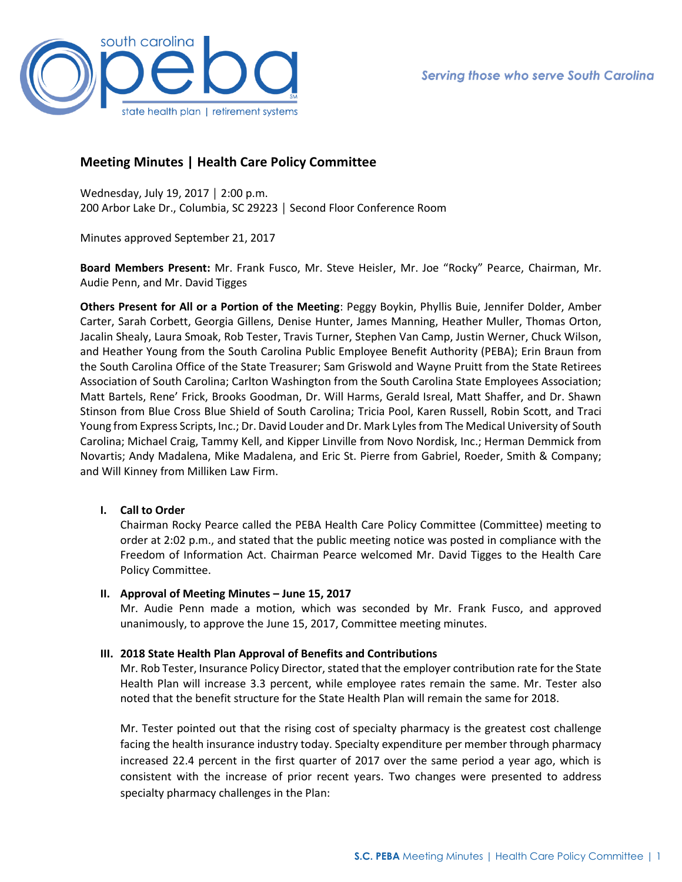

# **Meeting Minutes | Health Care Policy Committee**

Wednesday, July 19, 2017 │ 2:00 p.m. 200 Arbor Lake Dr., Columbia, SC 29223 │ Second Floor Conference Room

Minutes approved September 21, 2017

**Board Members Present:** Mr. Frank Fusco, Mr. Steve Heisler, Mr. Joe "Rocky" Pearce, Chairman, Mr. Audie Penn, and Mr. David Tigges

**Others Present for All or a Portion of the Meeting**: Peggy Boykin, Phyllis Buie, Jennifer Dolder, Amber Carter, Sarah Corbett, Georgia Gillens, Denise Hunter, James Manning, Heather Muller, Thomas Orton, Jacalin Shealy, Laura Smoak, Rob Tester, Travis Turner, Stephen Van Camp, Justin Werner, Chuck Wilson, and Heather Young from the South Carolina Public Employee Benefit Authority (PEBA); Erin Braun from the South Carolina Office of the State Treasurer; Sam Griswold and Wayne Pruitt from the State Retirees Association of South Carolina; Carlton Washington from the South Carolina State Employees Association; Matt Bartels, Rene' Frick, Brooks Goodman, Dr. Will Harms, Gerald Isreal, Matt Shaffer, and Dr. Shawn Stinson from Blue Cross Blue Shield of South Carolina; Tricia Pool, Karen Russell, Robin Scott, and Traci Young from Express Scripts, Inc.; Dr. David Louder and Dr. Mark Lyles from The Medical University of South Carolina; Michael Craig, Tammy Kell, and Kipper Linville from Novo Nordisk, Inc.; Herman Demmick from Novartis; Andy Madalena, Mike Madalena, and Eric St. Pierre from Gabriel, Roeder, Smith & Company; and Will Kinney from Milliken Law Firm.

## **I. Call to Order**

Chairman Rocky Pearce called the PEBA Health Care Policy Committee (Committee) meeting to order at 2:02 p.m., and stated that the public meeting notice was posted in compliance with the Freedom of Information Act. Chairman Pearce welcomed Mr. David Tigges to the Health Care Policy Committee.

#### **II. Approval of Meeting Minutes – June 15, 2017**

Mr. Audie Penn made a motion, which was seconded by Mr. Frank Fusco, and approved unanimously, to approve the June 15, 2017, Committee meeting minutes.

## **III. 2018 State Health Plan Approval of Benefits and Contributions**

Mr. Rob Tester, Insurance Policy Director, stated that the employer contribution rate for the State Health Plan will increase 3.3 percent, while employee rates remain the same. Mr. Tester also noted that the benefit structure for the State Health Plan will remain the same for 2018.

Mr. Tester pointed out that the rising cost of specialty pharmacy is the greatest cost challenge facing the health insurance industry today. Specialty expenditure per member through pharmacy increased 22.4 percent in the first quarter of 2017 over the same period a year ago, which is consistent with the increase of prior recent years. Two changes were presented to address specialty pharmacy challenges in the Plan: